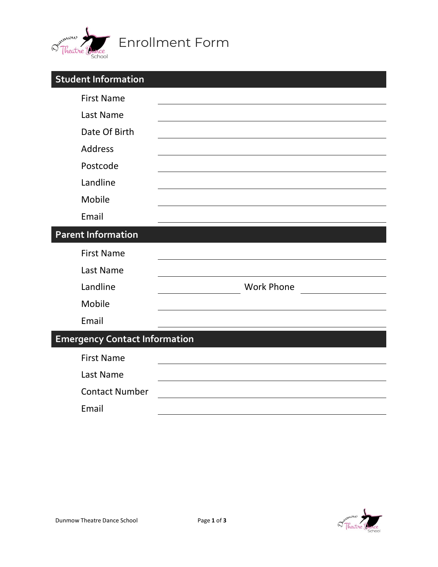

| <b>Student Information</b>           |                   |
|--------------------------------------|-------------------|
| <b>First Name</b>                    |                   |
| Last Name                            |                   |
| Date Of Birth                        |                   |
| <b>Address</b>                       |                   |
| Postcode                             |                   |
| Landline                             |                   |
| Mobile                               |                   |
| Email                                |                   |
| <b>Parent Information</b>            |                   |
| <b>First Name</b>                    |                   |
| Last Name                            |                   |
| Landline                             | <b>Work Phone</b> |
| Mobile                               |                   |
| Email                                |                   |
| <b>Emergency Contact Information</b> |                   |
| <b>First Name</b>                    |                   |
| Last Name                            |                   |
| <b>Contact Number</b>                |                   |
| Email                                |                   |

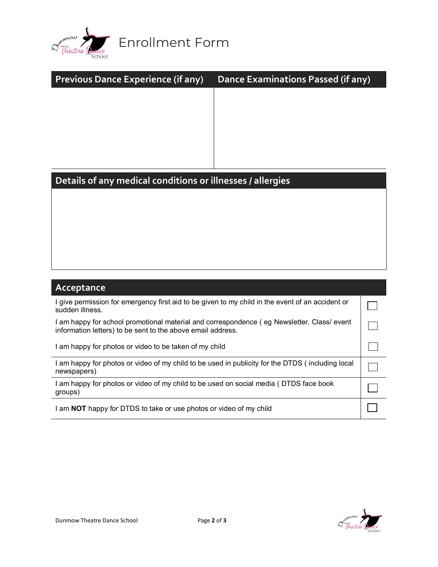

| <b>Previous Dance Experience (if any)</b>                                                        | Dance Examinations Passed (if any) |  |  |  |
|--------------------------------------------------------------------------------------------------|------------------------------------|--|--|--|
|                                                                                                  |                                    |  |  |  |
|                                                                                                  |                                    |  |  |  |
|                                                                                                  |                                    |  |  |  |
|                                                                                                  |                                    |  |  |  |
|                                                                                                  |                                    |  |  |  |
| Details of any medical conditions or illnesses / allergies                                       |                                    |  |  |  |
|                                                                                                  |                                    |  |  |  |
|                                                                                                  |                                    |  |  |  |
|                                                                                                  |                                    |  |  |  |
|                                                                                                  |                                    |  |  |  |
|                                                                                                  |                                    |  |  |  |
|                                                                                                  |                                    |  |  |  |
| Acceptance                                                                                       |                                    |  |  |  |
| I give permission for emergency first aid to be given to my child in the event of an accident or |                                    |  |  |  |

| T give permission for emergency first aid to be given to my child in the event of an accident or<br>sudden illness.                                       |  |
|-----------------------------------------------------------------------------------------------------------------------------------------------------------|--|
| I am happy for school promotional material and correspondence (eg Newsletter. Class/ event<br>information letters) to be sent to the above email address. |  |
| I am happy for photos or video to be taken of my child                                                                                                    |  |
| I am happy for photos or video of my child to be used in publicity for the DTDS (including local<br>newspapers)                                           |  |
| am happy for photos or video of my child to be used on social media (DTDS face book<br>groups)                                                            |  |
| I am NOT happy for DTDS to take or use photos or video of my child                                                                                        |  |